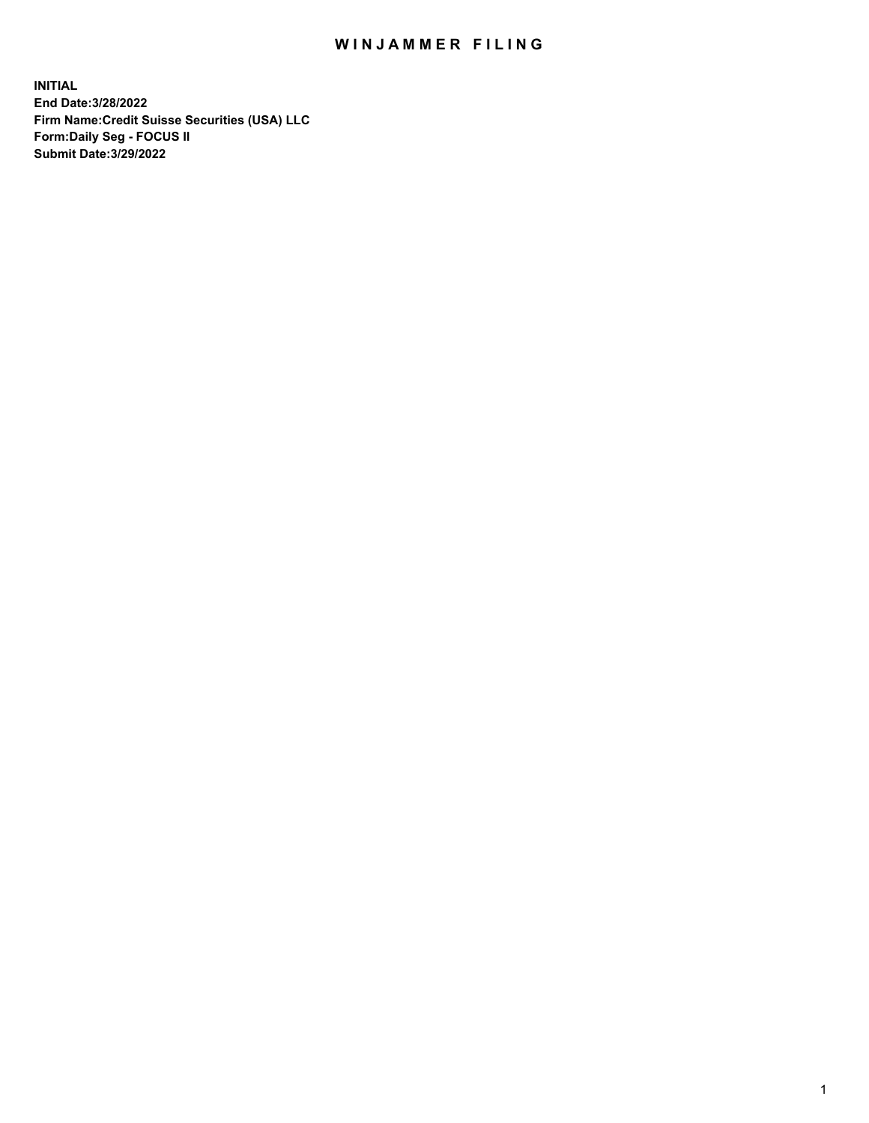## WIN JAMMER FILING

**INITIAL End Date:3/28/2022 Firm Name:Credit Suisse Securities (USA) LLC Form:Daily Seg - FOCUS II Submit Date:3/29/2022**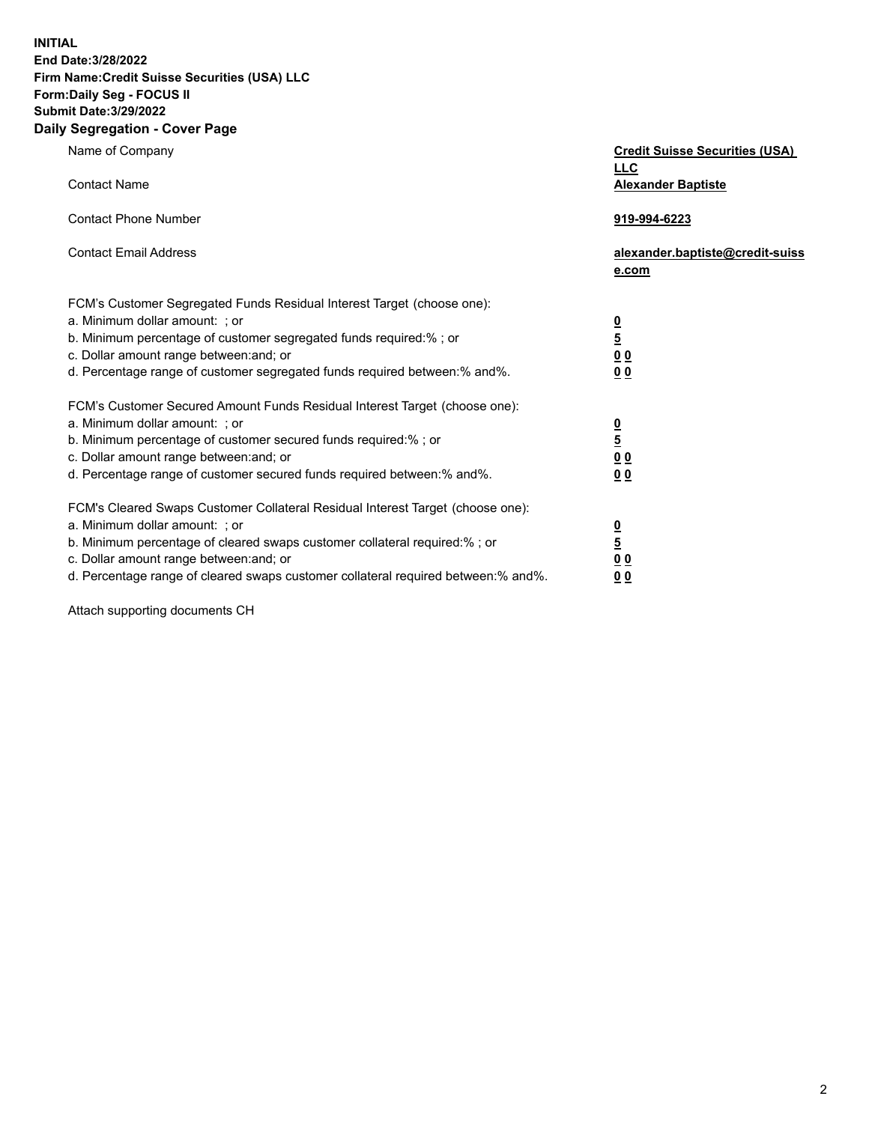**INITIAL**

## **End Date:3/28/2022 Firm Name:Credit Suisse Securities (USA) LLC Form:Daily Seg - FOCUS II Submit Date:3/29/2022**

## **Daily Segregation - Cover Page**

| Name of Company                                                                                                  | <b>Credit Suisse Securities (USA)</b><br><u>LLC</u> |
|------------------------------------------------------------------------------------------------------------------|-----------------------------------------------------|
| <b>Contact Name</b>                                                                                              | <b>Alexander Baptiste</b>                           |
| <b>Contact Phone Number</b>                                                                                      | 919-994-6223                                        |
| <b>Contact Email Address</b>                                                                                     | alexander.baptiste@credit-suiss<br>e.com            |
| FCM's Customer Segregated Funds Residual Interest Target (choose one):                                           |                                                     |
| a. Minimum dollar amount: ; or                                                                                   | $\frac{0}{5}$                                       |
| b. Minimum percentage of customer segregated funds required:%; or                                                |                                                     |
| c. Dollar amount range between: and; or                                                                          | 0 <sub>0</sub>                                      |
| d. Percentage range of customer segregated funds required between: % and %.                                      | 0 <sub>0</sub>                                      |
| FCM's Customer Secured Amount Funds Residual Interest Target (choose one):                                       |                                                     |
| a. Minimum dollar amount: ; or                                                                                   | $\frac{0}{5}$                                       |
| b. Minimum percentage of customer secured funds required:%; or                                                   |                                                     |
| c. Dollar amount range between: and; or                                                                          | $\underline{0}$ $\underline{0}$                     |
| d. Percentage range of customer secured funds required between:% and%.                                           | 0 <sub>0</sub>                                      |
| FCM's Cleared Swaps Customer Collateral Residual Interest Target (choose one):<br>a. Minimum dollar amount: ; or |                                                     |
| b. Minimum percentage of cleared swaps customer collateral required:% ; or                                       | $\frac{0}{5}$                                       |
| c. Dollar amount range between: and; or                                                                          | $\underline{0}$ $\underline{0}$                     |
| d. Percentage range of cleared swaps customer collateral required between:% and%.                                | 0 <sub>0</sub>                                      |
|                                                                                                                  |                                                     |

Attach supporting documents CH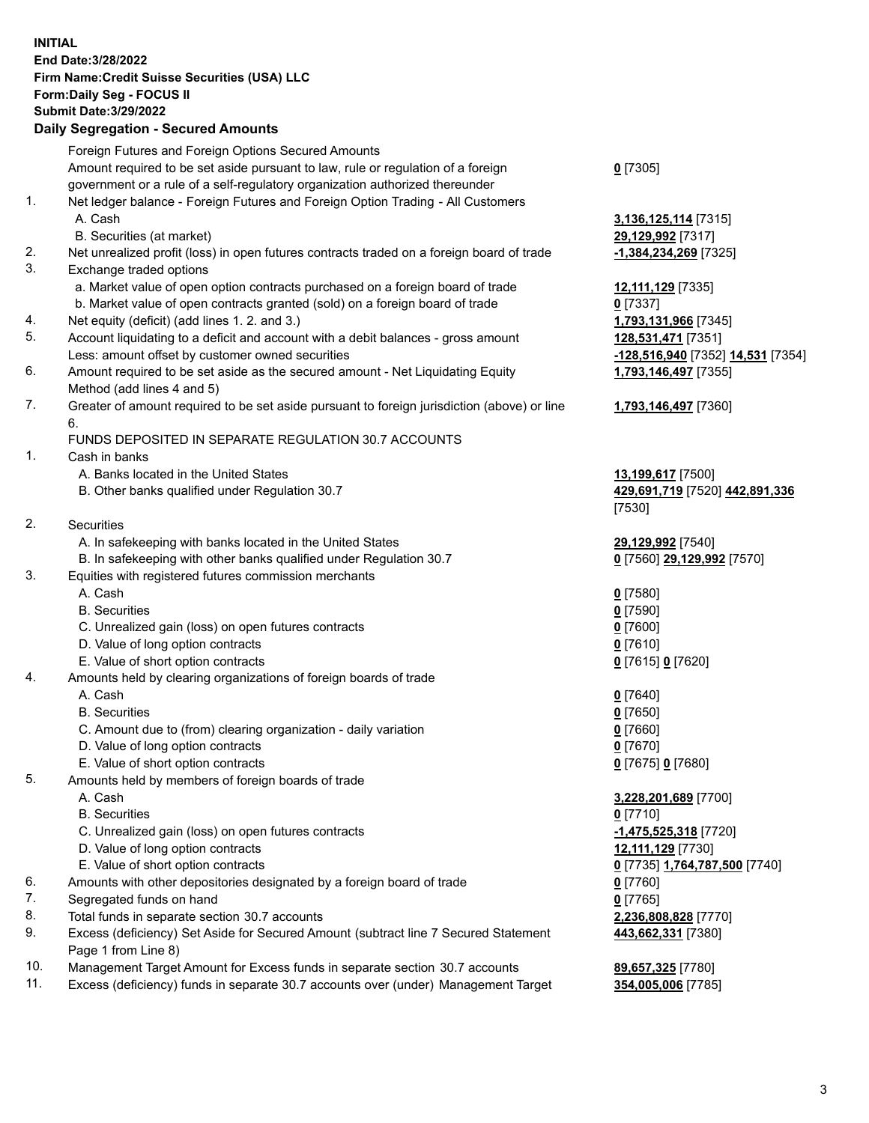**INITIAL End Date:3/28/2022 Firm Name:Credit Suisse Securities (USA) LLC Form:Daily Seg - FOCUS II Submit Date:3/29/2022**

## **Daily Segregation - Secured Amounts**

|     | Foreign Futures and Foreign Options Secured Amounts                                                          |                                   |
|-----|--------------------------------------------------------------------------------------------------------------|-----------------------------------|
|     | Amount required to be set aside pursuant to law, rule or regulation of a foreign                             | $0$ [7305]                        |
|     | government or a rule of a self-regulatory organization authorized thereunder                                 |                                   |
| 1.  | Net ledger balance - Foreign Futures and Foreign Option Trading - All Customers                              |                                   |
|     | A. Cash                                                                                                      | 3,136,125,114 [7315]              |
|     | B. Securities (at market)                                                                                    | 29,129,992 [7317]                 |
| 2.  | Net unrealized profit (loss) in open futures contracts traded on a foreign board of trade                    | -1,384,234,269 [7325]             |
| 3.  | Exchange traded options                                                                                      |                                   |
|     | a. Market value of open option contracts purchased on a foreign board of trade                               | 12,111,129 [7335]                 |
|     | b. Market value of open contracts granted (sold) on a foreign board of trade                                 | $0$ [7337]                        |
| 4.  | Net equity (deficit) (add lines 1. 2. and 3.)                                                                | 1,793,131,966 [7345]              |
| 5.  | Account liquidating to a deficit and account with a debit balances - gross amount                            | 128,531,471 [7351]                |
|     | Less: amount offset by customer owned securities                                                             | -128,516,940 [7352] 14,531 [7354] |
| 6.  | Amount required to be set aside as the secured amount - Net Liquidating Equity<br>Method (add lines 4 and 5) | 1,793,146,497 [7355]              |
| 7.  | Greater of amount required to be set aside pursuant to foreign jurisdiction (above) or line<br>6.            | 1,793,146,497 [7360]              |
|     | FUNDS DEPOSITED IN SEPARATE REGULATION 30.7 ACCOUNTS                                                         |                                   |
| 1.  | Cash in banks                                                                                                |                                   |
|     | A. Banks located in the United States                                                                        | 13,199,617 [7500]                 |
|     | B. Other banks qualified under Regulation 30.7                                                               | 429,691,719 [7520] 442,891,336    |
|     |                                                                                                              | [7530]                            |
| 2.  | Securities                                                                                                   |                                   |
|     | A. In safekeeping with banks located in the United States                                                    | 29,129,992 [7540]                 |
|     | B. In safekeeping with other banks qualified under Regulation 30.7                                           | 0 [7560] 29,129,992 [7570]        |
| 3.  | Equities with registered futures commission merchants                                                        |                                   |
|     | A. Cash                                                                                                      | $0$ [7580]                        |
|     | <b>B.</b> Securities                                                                                         | $0$ [7590]                        |
|     | C. Unrealized gain (loss) on open futures contracts                                                          | $0$ [7600]                        |
|     | D. Value of long option contracts                                                                            | $0$ [7610]                        |
|     | E. Value of short option contracts                                                                           | 0 [7615] 0 [7620]                 |
| 4.  | Amounts held by clearing organizations of foreign boards of trade                                            |                                   |
|     | A. Cash                                                                                                      | $0$ [7640]                        |
|     | <b>B.</b> Securities                                                                                         | $0$ [7650]                        |
|     | C. Amount due to (from) clearing organization - daily variation                                              | $0$ [7660]                        |
|     | D. Value of long option contracts                                                                            | $0$ [7670]                        |
|     | E. Value of short option contracts                                                                           | 0 [7675] 0 [7680]                 |
| 5.  | Amounts held by members of foreign boards of trade                                                           |                                   |
|     | A. Cash                                                                                                      | 3,228,201,689 [7700]              |
|     | <b>B.</b> Securities                                                                                         | $0$ [7710]                        |
|     | C. Unrealized gain (loss) on open futures contracts                                                          | -1,475,525,318 [7720]             |
|     | D. Value of long option contracts                                                                            | 12,111,129 [7730]                 |
|     | E. Value of short option contracts                                                                           | 0 [7735] 1,764,787,500 [7740]     |
| 6.  | Amounts with other depositories designated by a foreign board of trade                                       | $0$ [7760]                        |
| 7.  | Segregated funds on hand                                                                                     | $0$ [7765]                        |
| 8.  | Total funds in separate section 30.7 accounts                                                                | 2,236,808,828 [7770]              |
| 9.  | Excess (deficiency) Set Aside for Secured Amount (subtract line 7 Secured Statement<br>Page 1 from Line 8)   | 443,662,331 [7380]                |
| 10. | Management Target Amount for Excess funds in separate section 30.7 accounts                                  | 89,657,325 [7780]                 |
|     |                                                                                                              |                                   |

11. Excess (deficiency) funds in separate 30.7 accounts over (under) Management Target **354,005,006** [7785]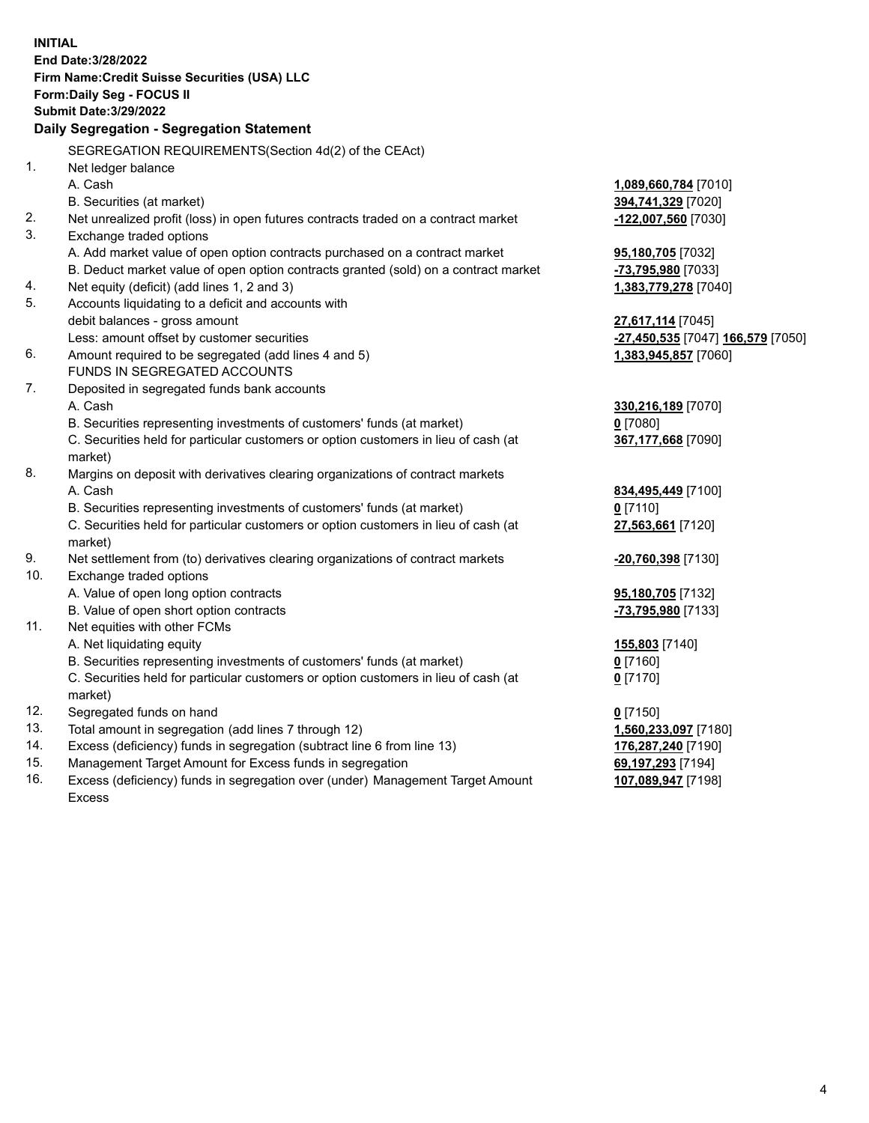| <b>INITIAL</b> |                                                                                     |                                         |
|----------------|-------------------------------------------------------------------------------------|-----------------------------------------|
|                | End Date: 3/28/2022                                                                 |                                         |
|                | Firm Name: Credit Suisse Securities (USA) LLC                                       |                                         |
|                | Form: Daily Seg - FOCUS II                                                          |                                         |
|                | <b>Submit Date: 3/29/2022</b>                                                       |                                         |
|                | Daily Segregation - Segregation Statement                                           |                                         |
|                | SEGREGATION REQUIREMENTS(Section 4d(2) of the CEAct)                                |                                         |
| 1.             | Net ledger balance                                                                  |                                         |
|                | A. Cash                                                                             | 1,089,660,784 [7010]                    |
|                | B. Securities (at market)                                                           | 394,741,329 [7020]                      |
| 2.             | Net unrealized profit (loss) in open futures contracts traded on a contract market  | -122,007,560 [7030]                     |
| 3.             | Exchange traded options                                                             |                                         |
|                | A. Add market value of open option contracts purchased on a contract market         | 95,180,705 [7032]                       |
|                | B. Deduct market value of open option contracts granted (sold) on a contract market | -73,795,980 [7033]                      |
| 4.             | Net equity (deficit) (add lines 1, 2 and 3)                                         | 1,383,779,278 [7040]                    |
| 5.             | Accounts liquidating to a deficit and accounts with                                 |                                         |
|                | debit balances - gross amount                                                       | 27,617,114 [7045]                       |
|                | Less: amount offset by customer securities                                          | -27,450,535 [7047] 166,579 [7050]       |
| 6.             | Amount required to be segregated (add lines 4 and 5)                                | 1,383,945,857 [7060]                    |
|                | FUNDS IN SEGREGATED ACCOUNTS                                                        |                                         |
| 7.             | Deposited in segregated funds bank accounts                                         |                                         |
|                | A. Cash                                                                             | 330,216,189 [7070]                      |
|                | B. Securities representing investments of customers' funds (at market)              | $0$ [7080]                              |
|                | C. Securities held for particular customers or option customers in lieu of cash (at | 367,177,668 [7090]                      |
|                | market)                                                                             |                                         |
| 8.             | Margins on deposit with derivatives clearing organizations of contract markets      |                                         |
|                | A. Cash                                                                             | 834,495,449 [7100]                      |
|                | B. Securities representing investments of customers' funds (at market)              | $0$ [7110]                              |
|                | C. Securities held for particular customers or option customers in lieu of cash (at | 27,563,661 [7120]                       |
|                | market)                                                                             |                                         |
| 9.<br>10.      | Net settlement from (to) derivatives clearing organizations of contract markets     | -20,760,398 [7130]                      |
|                | Exchange traded options<br>A. Value of open long option contracts                   |                                         |
|                | B. Value of open short option contracts                                             | 95,180,705 [7132]<br>-73,795,980 [7133] |
| 11.            | Net equities with other FCMs                                                        |                                         |
|                | A. Net liquidating equity                                                           | 155,803 [7140]                          |
|                | B. Securities representing investments of customers' funds (at market)              | $0$ [7160]                              |
|                | C. Securities held for particular customers or option customers in lieu of cash (at | $0$ [7170]                              |
|                | market)                                                                             |                                         |
| 12.            | Segregated funds on hand                                                            | $0$ [7150]                              |
| 13.            | Total amount in segregation (add lines 7 through 12)                                | 1,560,233,097 [7180]                    |
| 14.            | Excess (deficiency) funds in segregation (subtract line 6 from line 13)             | 176,287,240 [7190]                      |
| 15.            | Management Target Amount for Excess funds in segregation                            | 69,197,293 [7194]                       |
| 16.            | Excess (deficiency) funds in segregation over (under) Management Target Amount      | 107,089,947 [7198]                      |
|                | <b>Excess</b>                                                                       |                                         |